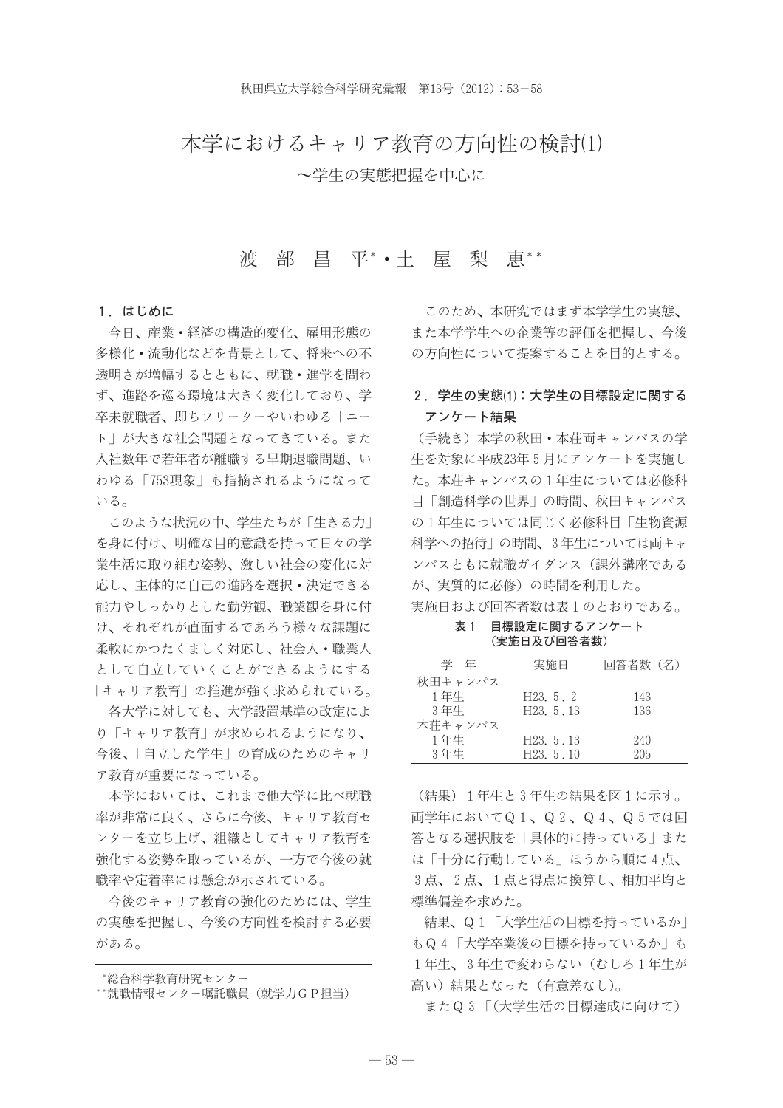# 本学におけるキャリア教育の方向性の検討(1) ~学生の実態把握を中心に

#### 渡 部 昌 平\*•十 屋 梨 恵\*\*

#### 1. はじめに

今日、産業・経済の構造的変化、雇用形態の 多様化・流動化などを背景として、将来への不 透明さが増幅するとともに、就職・進学を問わ ず、進路を巡る環境は大きく変化しており、学 卒未就職者、即ちフリーターやいわゆる「ニー ト」が大きな社会問題となってきている。また 入社数年で若年者が離職する早期退職問題、い わゆる「753現象」も指摘されるようになって いる。

このような状況の中、学生たちが「生きる力」 を身に付け、明確な目的意識を持って日々の学 業生活に取り組む姿勢、激しい社会の変化に対 応し、主体的に自己の進路を選択・決定できる 能力やしっかりとした勤労観、職業観を身に付 け、それぞれが直面するであろう様々な課題に 柔軟にかつたくましく対応し、社会人・職業人 として自立していくことができるようにする 「キャリア教育」の推進が強く求められている。

各大学に対しても、大学設置基準の改定によ り「キャリア教育」が求められるようになり、 今後、「自立した学生」の育成のためのキャリ ア教育が重要になっている。

本学においては、これまで他大学に比べ就職 率が非常に良く、さらに今後、キャリア教育セ ンターを立ち上げ、組織としてキャリア教育を 強化する姿勢を取っているが、一方で今後の就 職率や定着率には懸念が示されている。

今後のキャリア教育の強化のためには、学生 の実態を把握し、今後の方向性を検討する必要 がある。

このため、本研究ではまず本学学生の実態、 また本学学生への企業等の評価を把握し、今後 の方向性について提案することを目的とする。

# 2. 学生の実態(1):大学生の目標設定に関する アンケート結果

(手続き) 本学の秋田·本荘両キャンパスの学 生を対象に平成23年5月にアンケートを実施し た。本荘キャンパスの1年生については必修科 目「創造科学の世界」の時間、秋田キャンパス の1年生については同じく必修科目「生物資源 科学への招待 | の時間、3年生については両キャ ンパスともに就職ガイダンス(課外講座である が、実質的に必修)の時間を利用した。

実施日および回答者数は表1のとおりである。

表1 目標設定に関するアンケート (実施日及び回答者数)

| 学年      | 実施日      | 同答者数(名) |
|---------|----------|---------|
| 秋田キャンパス |          |         |
| 1年生     | H23.5.2  | 143     |
| 3年生     | H23.5.13 | 136     |
| 本荘キャンパス |          |         |
| 1年生     | H23.5.13 | 240     |
| 3年生     | H23.5.10 | 205     |

(結果) 1年生と3年生の結果を図1に示す。 両学年においてQ1、Q2、Q4、Q5では回 答となる選択肢を「具体的に持っている」また は「十分に行動している」ほうから順に4点、 3点、2点、1点と得点に換算し、相加平均と 標準偏差を求めた。

結果、Q1「大学生活の目標を持っているか」 もQ4「大学卒業後の目標を持っているか」も 1年生、3年生で変わらない (むしろ1年生が 高い)結果となった (有意差なし)。

またQ3「(大学生活の目標達成に向けて)

<sup>\*</sup>総合科学教育研究センター

<sup>\*\*</sup>就職情報センター嘱託職員(就学力GP担当)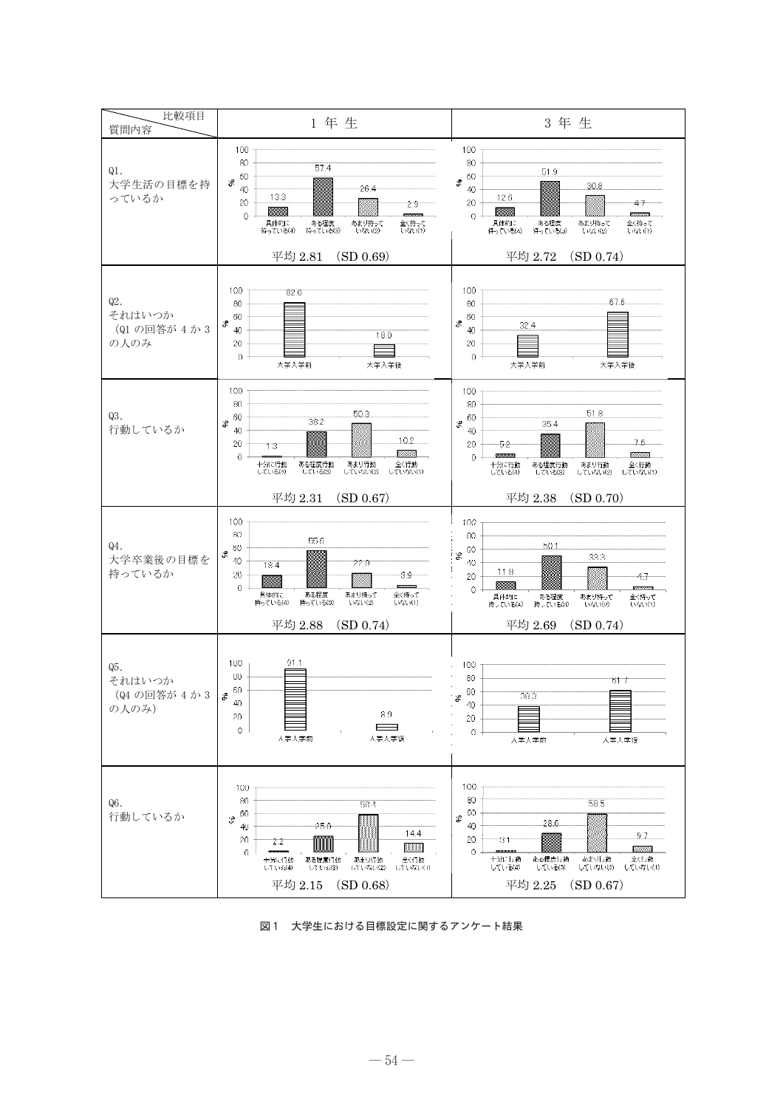

図1 大学生における目標設定に関するアンケート結果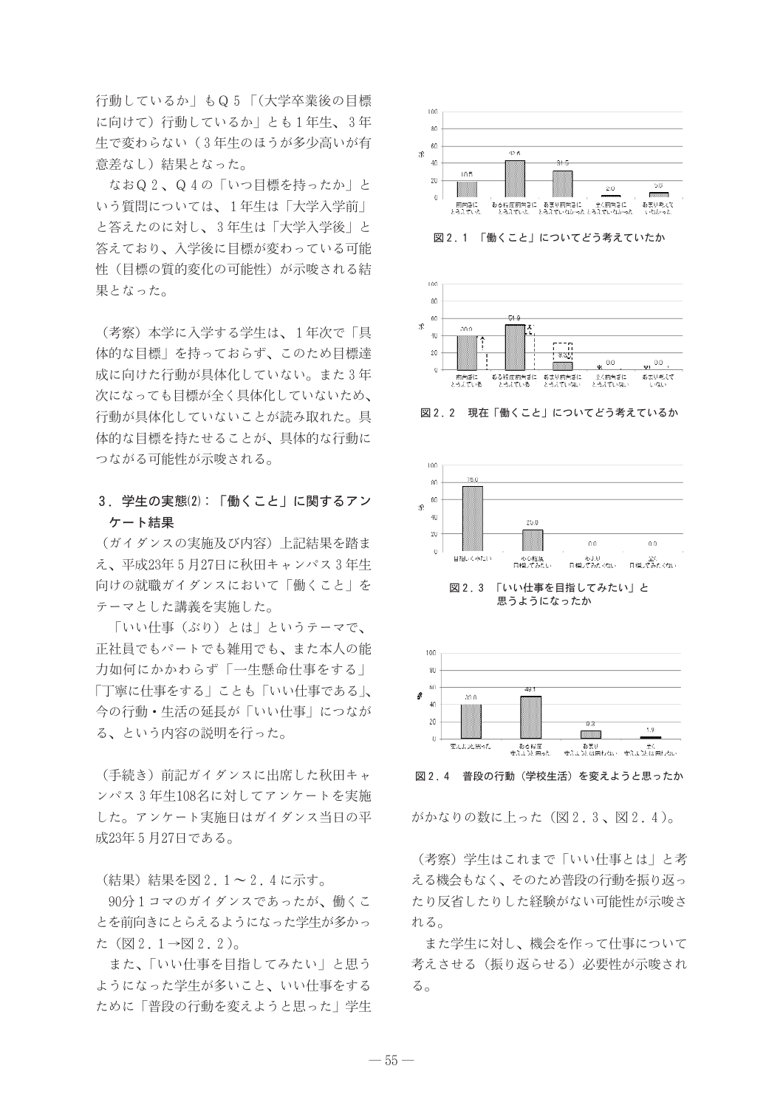行動しているか」もQ5「(大学卒業後の目標 に向けて)行動しているか」とも1年生、3年 生で変わらない(3年生のほうが多少高いが有 意差なし)結果となった。

なおQ2、Q4の「いつ目標を持ったか」と いう質問については、1年生は「大学入学前」 と答えたのに対し、3年生は「大学入学後」と 答えており、入学後に目標が変わっている可能 性(日標の質的変化の可能性)が示唆される結 果となった。

(考察) 本学に入学する学生は、1年次で「具 体的な目標」を持っておらず、このため目標達 成に向けた行動が具体化していない。また3年 次になっても目標が全く具体化していないため、 行動が具体化していないことが読み取れた。具 体的な目標を持たせることが、具体的な行動に つながる可能性が示唆される。

### 3. 学生の実態(2): 「働くこと」に関するアン ケート結果

(ガイダンスの実施及び内容) 上記結果を踏ま え、平成23年5月27日に秋田キャンパス3年生 向けの就職ガイダンスにおいて「働くこと」を テーマとした講義を実施した。

「いい什事(ぶり)とは」というテーマで、 正社員でもパートでも雑用でも、また本人の能 力如何にかかわらず「一生懸命仕事をする」 「丁寧に什事をする」ことも「いい什事である」、 今の行動・生活の延長が「いい仕事」につなが る、という内容の説明を行った。

(手続き)前記ガイダンスに出席した秋田キャ ンパス3年生108名に対してアンケートを実施 した。アンケート実施日はガイダンス当日の平 成23年5月27日である。

(結果)結果を図2.1~2.4に示す。

90分1コマのガイダンスであったが、働くこ とを前向きにとらえるようになった学生が多かっ た (図2.1→図2.2)。

また、「いい仕事を目指してみたい」と思う ようになった学生が多いこと、いい仕事をする ために「普段の行動を変えようと思った」学生



図2.1 「働くこと」についてどう考えていたか



図2.2 現在「働くこと」についてどう考えているか



思うようになったか



図2.4 普段の行動(学校生活)を変えようと思ったか

がかなりの数に上った (図2.3、図2.4)。

(考察) 学生はこれまで「いい什事とは」と考 える機会もなく、そのため普段の行動を振り返っ たり反省したりした経験がない可能性が示唆さ れる。

また学生に対し、機会を作って仕事について 考えさせる(振り返らせる)必要性が示唆され  $50$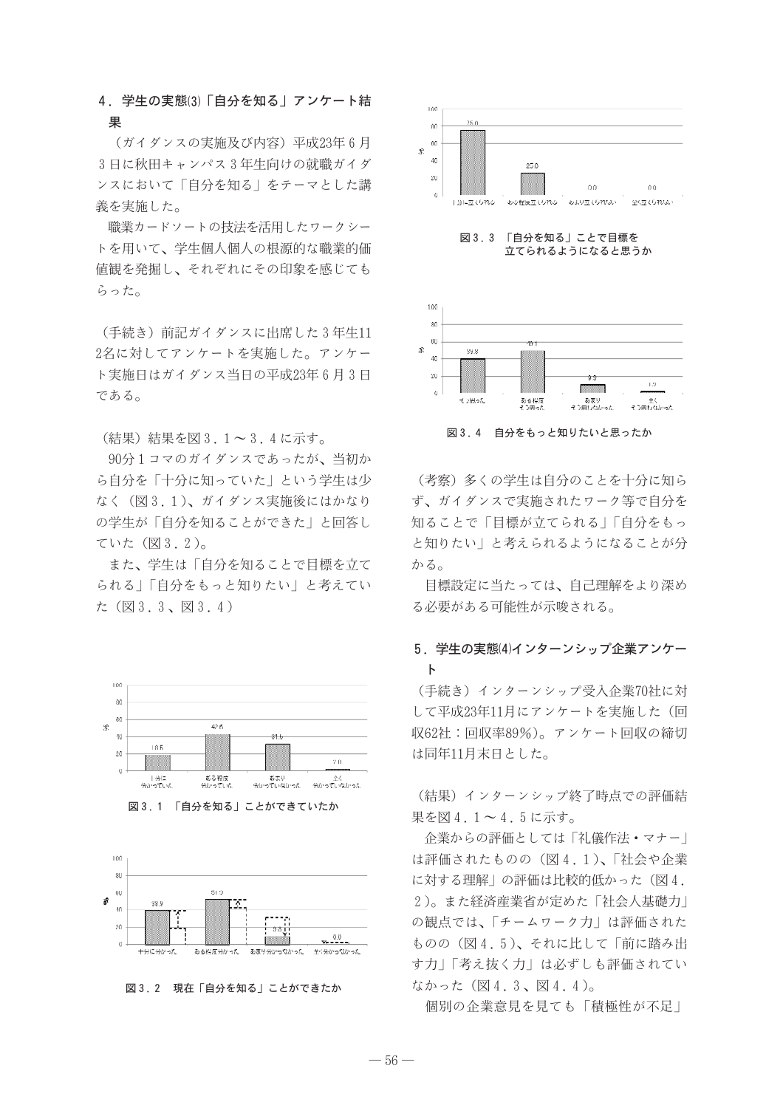### 4. 学生の実態(3)「自分を知る」アンケート結 果

(ガイダンスの実施及び内容)平成23年6月 3日に秋田キャンパス3年生向けの就職ガイダ ンスにおいて「自分を知る」をテーマとした講 義を実施した。

職業カードソートの技法を活用したワークシー トを用いて、学生個人個人の根源的な職業的価 値観を発掘し、それぞれにその印象を感じても らった。

(手続き)前記ガイダンスに出席した3年生11 2名に対してアンケートを実施した。アンケー ト実施日はガイダンス当日の平成23年6月3日 である。

(結果)結果を図3.1~3.4に示す。

90分1コマのガイダンスであったが、当初か ら自分を「十分に知っていた」という学生は少 なく (図3.1)、ガイダンス実施後にはかなり の学生が「自分を知ることができた」と回答し ていた (図3.2)。

また、学生は「自分を知ることで目標を立て られる」「自分をもっと知りたい」と考えてい た (図3.3、図3.4)



図3.1 「自分を知る」ことができていたか



図3.2 現在「自分を知る」ことができたか



図3.3 「自分を知る」ことで目標を 立てられるようになると思うか



図3.4 自分をもっと知りたいと思ったか

(考察) 多くの学生は自分のことを十分に知ら ず、ガイダンスで実施されたワーク等で自分を 知ることで「目標が立てられる」「自分をもっ と知りたい」と考えられるようになることが分 かる。

目標設定に当たっては、自己理解をより深め る必要がある可能性が示唆される。

## 5. 学生の実態⑷インターンシップ企業アンケー  $\mathsf{F}$

(手続き) インターンシップ受入企業70社に対 して平成23年11月にアンケートを実施した(回 収62社:回収率89%)。アンケート回収の締切 は同年11月末日とした。

(結果) インターンシップ終了時点での評価結 果を図4.1~4.5に示す。

企業からの評価としては「礼儀作法・マナー」 は評価されたものの (図4.1)、「社会や企業 に対する理解」の評価は比較的低かった (図4. 2)。また経済産業省が定めた「社会人基礎力」 の観点では、「チームワーク力」は評価された ものの(図4.5)、それに比して「前に踏み出 す力|「考え抜く力」は必ずしも評価されてい なかった (図4.3、図4.4)。

個別の企業意見を見ても「積極性が不足」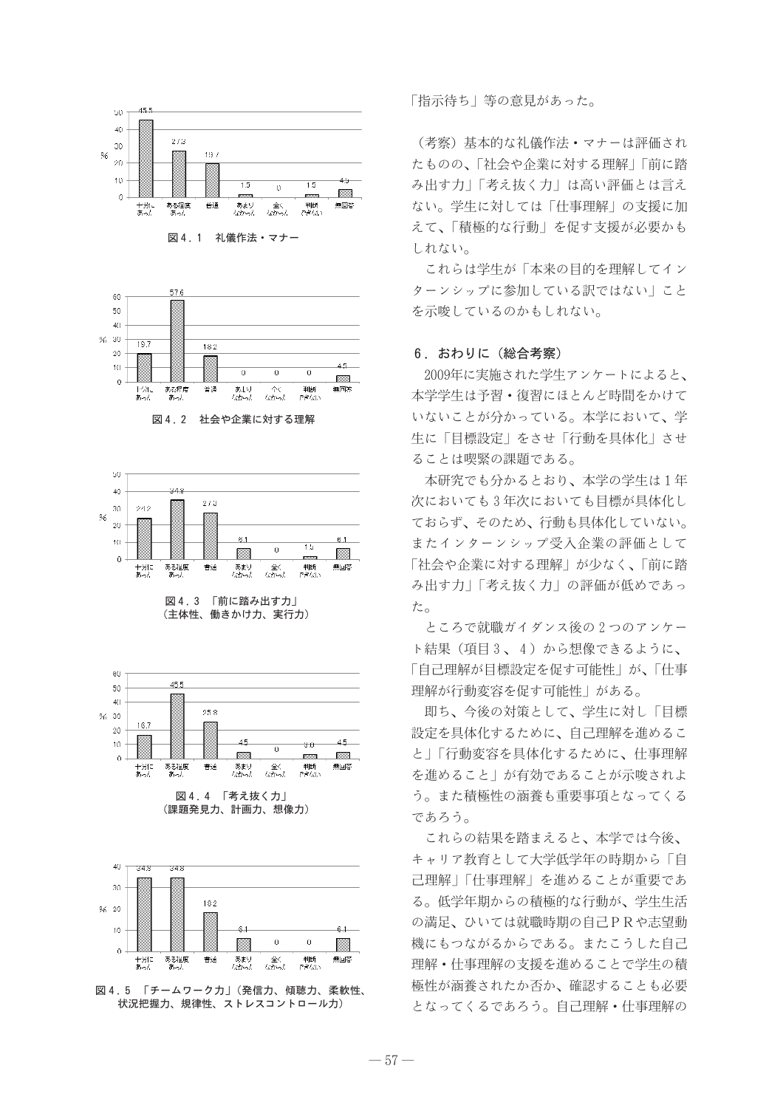







図4.3 「前に踏み出す力」 (主体性、働きかけ力、実行力)



図 4.4 「考え抜く力」 (課題発見力、計画力、想像力)



図4.5 「チームワークカ」(発信力、傾聴力、柔軟性、 状況把握力、規律性、ストレスコントロール力)

「指示待ち」等の意見があった。

(考察) 基本的な礼儀作法·マナーは評価され たものの、「社会や企業に対する理解」「前に踏 み出す力|「考え抜く力」は高い評価とは言え ない。学生に対しては「什事理解」の支援に加 えて、「積極的な行動」を促す支援が必要かも しれない。

これらは学生が「本来の目的を理解してイン ターンシップに参加している訳ではない」こと を示唆しているのかもしれない。

#### 6. おわりに (総合考察)

2009年に実施された学生アンケートによると、 本学学生は予習·復習にほとんど時間をかけて いないことが分かっている。本学において、学 生に「目標設定」をさせ「行動を具体化」させ ることは喫緊の課題である。

本研究でも分かるとおり、本学の学生は1年 次においても3年次においても目標が具体化し ておらず、そのため、行動も具体化していない。 またインターンシップ受入企業の評価として 「社会や企業に対する理解」が少なく、「前に踏 み出す力」「考え抜く力」の評価が低めであっ た。

ところで就職ガイダンス後の2つのアンケー ト結果(項目3、4)から想像できるように、 「自己理解が目標設定を促す可能性」が、「仕事 理解が行動変容を促す可能性」がある。

即ち、今後の対策として、学生に対し「目標 設定を具体化するために、自己理解を進めるこ と|「行動変容を具体化するために、什事理解 を進めること | が有効であることが示唆されよ う。また積極性の涵養も重要事項となってくる であろう。

これらの結果を踏まえると、本学では今後、 キャリア教育として大学低学年の時期から「自 己理解|「什事理解| を進めることが重要であ る。低学年期からの積極的な行動が、学生生活 の満足、ひいては就職時期の自己PRや志望動 機にもつながるからである。またこうした自己 理解·什事理解の支援を進めることで学生の積 極性が涵養されたか否か、確認することも必要 となってくるであろう。自己理解・什事理解の